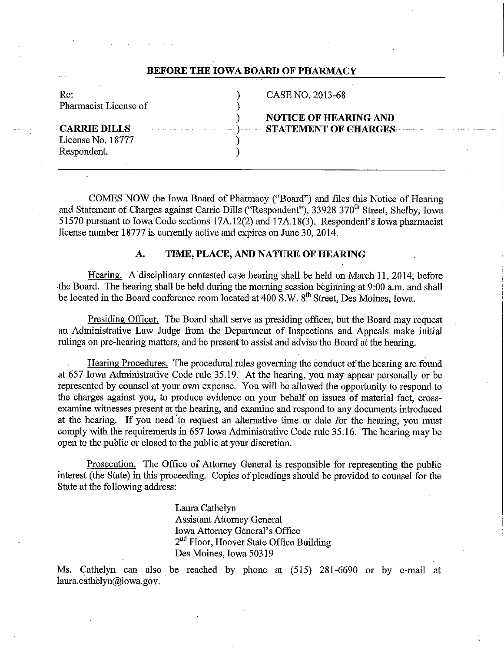| Re:                   | CASE NO. 2013-68                                               |  |
|-----------------------|----------------------------------------------------------------|--|
| Pharmacist License of |                                                                |  |
|                       | <b>NOTICE OF HEARING AND</b>                                   |  |
| <b>CARRIE DILLS</b>   | <b>STATEMENT OF CHARGES EXECUTED:</b> The STATEMENT OF CHARGES |  |
|                       |                                                                |  |
| License No. 18777     |                                                                |  |
| Respondent.           |                                                                |  |
|                       |                                                                |  |
|                       |                                                                |  |

COMES NOW the Iowa Board of Pharmacy ("Board") and files this Notice of Hearing and Statement of Charges against Carrie Dills ("Respondent"), 33928 370<sup>th</sup> Street, Shelby, Iowa 51570 pursuant to Iowa Code sections 17A.12(2) and 17A.18(3). Respondent's Iowa pharmacist license number 18777 is currently active and expires on June 30, 2014.

# **A. TIME, PLACE, AND NATURE OF HEARING**

Hearing. A disciplinary contested case hearing shall be held on March 11, 2014, before the Board. The hearing shall be held during the morning session beginning at 9:00 a.m. and shall be located in the Board conference room located at 400 S.W. 8<sup>th</sup> Street, Des Moines, Iowa.

Presiding Officer. The Board shall serve as presiding officer, but the Board may request an Administrative Law Judge from the Department of Inspections and Appeals make initial rulings on pre-hearing matters, and be present to assist and advise the Board at the hearing.

Hearing Procedures. The procedural rules governing the conduct of the hearing are found at 657 Iowa Administrative Code rule 35.19. At the hearing, you may appear personally or be represented by counsel at your own expense. You will be allowed the opportunity to respond to the charges against you, to produce evidence on your behalf on issues of material fact, crossexamine witnesses present at the hearing, and examine and respond to any documents introduced at the hearing. If you need 'to request an alternative time or date for the hearing, you must comply with the requirements in 657 Iowa Administrative Code rule 35.16. The hearing may be open to the public or closed to the public at your discretion.

Prosecution. The Office of Attorney General is responsible for representing the public interest (the State) in this proceeding. Copies of pleadings should be provided to counsel for the State at the following address:

> Laura Cathelyn Assistant Attorney General Iowa Attorney General's Office 2<sup>nd</sup> Floor, Hoover State Office Building Des Moines, Iowa 50319

Ms. Cathelyn can also be reached by phone at (515) 281-6690 or by e-mail at laura.cathelyn@iowa.gov.

# **BEFORE THE IOWA BOARD OF PHARMACY**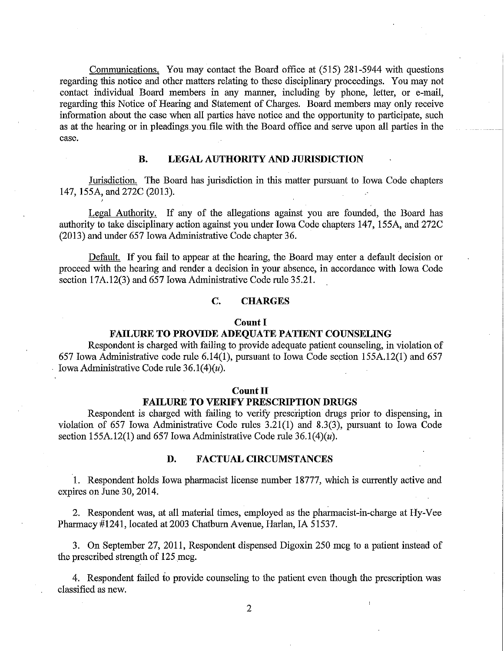Communications. You may contact the Board office at (515) 281-5944 with questions regarding this notice and other matters relating to these disciplinary proceedings. You may not contact individual Board members in any manner, including by phone, letter, or e-mail, regarding this Notice of Hearing and Statement of Charges. Board members may only receive information about the case when all parties have notice and the opportunity to participate, such as at the hearing or in pleadings\_you file with the Board office and serve upon all parties in the case.

## **B. LEGAL AUTHORITY AND JURISDICTION**

Jurisdiction. The Board has jurisdiction in this matter pursuant to Iowa Code chapters 147, 155A, and 272C (2013).

Legal Authority. If any of the allegations against you are founded, the Board has authority to take disciplinary action against you under Iowa Code chapters 147, 155A, and 272C (2013) and under 657 Iowa Administrative Code chapter 36.

Default. If you fail to appear at the hearing, the Board may enter a default decision or proceed with the hearing and render a decision in your absence, in accordance with Iowa Code section 17A.12(3) and 657 Iowa Administrative Code rule 35.21.

# **C. CHARGES**

#### **Count I**

## **FAILURE TO PROVIDE ADEQUATE PATIENT COUNSELING**

Respondent is charged with failing to provide adequate patient counseling, in violation of 657 Iowa Administrative code rule 6.14(1), pursuant to Iowa Code section 155A.12(1) and 657 Iowa Administrative Code rule  $36.1(4)(u)$ .

#### **Count II**

## **FAILURE TO VERIFY PRESCRIPTION DRUGS**

Respondent is charged with failing to verify prescription drugs prior to dispensing, in violation of 657 Iowa Administrative Code rules 3.21(1) and 8.3(3), pursuant to Iowa Code section 155A.12(1) and 657 Iowa Administrative Code rule 36.1(4)( $u$ ).

## **D. FACTUAL CIRCUMSTANCES**

1. Respondent holds Iowa pharmacist license number 18777, which is currently active and expires on June 30, 2014.

2. Respondent was, at all material times, employed as the pharmacist-in-charge at Hy-Vee Pharmacy #1241, located at 2003 Chatburn Avenue, Harlan, IA 51537.

3. On September 27, 2011, Respondent dispensed Digoxin 250 mcg to a patient instead of the prescribed strength of 125 mcg.

4. Respondent failed to provide counseling to the patient even though the prescription was classified as new.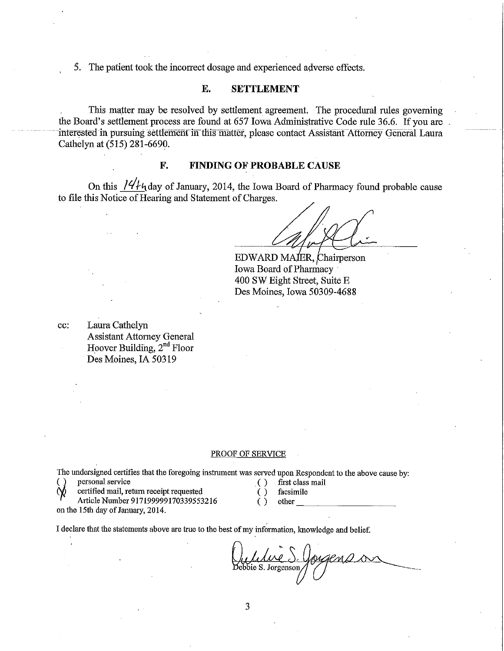5. The patient took the incorrect dosage and experienced adverse effects.

## **E. SETTLEMENT**

This matter may be resolved by settlement agreement. The procedural rules governing the Board's settlement process are found at 657 Iowa Administrative Code rule 36.6. If you are interested in pursuing settlement in this matter, please contact Assistant Attorney General Laura Cathelyn at (515) 281-6690.

## **F. FINDING OF PROBABLE CAUSE**

On this  $14/4$  day of January, 2014, the Iowa Board of Pharmacy found probable cause to file this Notice of Hearing and Statement of Charges.

ER, hairperson Iowa Board of Pharmacy 400 SW Eight Street, Suite E Des Moines, Iowa 50309-4688

cc: Laura Cathelyn Assistant Attorney General Hoover Building, 2<sup>nd</sup> Floor Des Moines, IA 50319

#### PROOF OF SERVICE

The undersigned certifies that the foregoing instrument was served upon Respondent to the above cause by:<br>( ) personal service  $\left( \right)$  first class mail

- <sup>2</sup> **personal service** . ( ) first class mail
	- $t$  certified mail, return receipt requested  $\overrightarrow{y}$  facsimile

Article Number 917199999170339553216 () other

on the 15th day of January, 2014.

- 
- 

I declare that the statements above are true to the best of my information, knowledge and belief.

Que de la S. Gougens de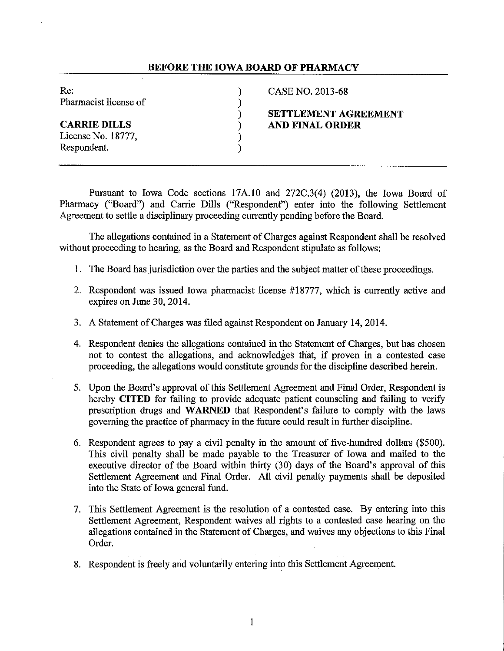## **BEFORE THE IOWA BOARD OF PHARMACY**

Re: (2013-68) CASE NO. 2013-68 Pharmacist license of  $)$  )

License No. 18777, )

Respondent.

) **SETTLEMENT AGREEMENT CARRIE DILLS** ) **AND FINAL ORDER** 

Pursuant to Iowa Code sections 17A.10 and 272C.3(4) (2013), the Iowa Board of Pharmacy ("Board") and Carrie Dills ("Respondent") enter into the following Settlement Agreement to settle a disciplinary proceeding currently pending before the Board.

The allegations contained in a Statement of Charges against Respondent shall be resolved without proceeding to hearing, as the Board and Respondent stipulate as follows:

- 1. The Board has jurisdiction over the parties and the subject matter of these proceedings.
- 2. Respondent was issued Iowa pharmacist license #18777, which is currently active and expires on June 30, 2014.
- 3. A Statement of Charges was filed against Respondent on January 14, 2014.
- 4. Respondent denies the allegations contained in the Statement of Charges, but has chosen not to contest the allegations, and acknowledges that, if proven in a contested case proceeding, the allegations would constitute grounds for the discipline described herein.
- 5. Upon the Board's approval of this Settlement Agreement and Final Order, Respondent is hereby **CITED** for failing to provide adequate patient counseling and failing to verify prescription drugs and **WARNED** that Respondent's failure to comply with the laws governing the practice of pharmacy in the future could result in further discipline.
- 6. Respondent agrees to pay a civil penalty in the amount of five-hundred dollars (\$500). This civil penalty shall be made payable to the Treasurer of Iowa and mailed to the executive director of the Board within thirty (30) days of the Board's approval of this Settlement Agreement and Final Order. All civil penalty payments shall be deposited into the State of Iowa general fund.
- 7. This Settlement Agreement is the resolution of a contested case. By entering into this Settlement Agreement, Respondent waives all rights to a contested case hearing on the allegations contained in the Statement of Charges, and waives any objections to this Final Order.
- 8. Respondent is freely and voluntarily entering into this Settlement Agreement.